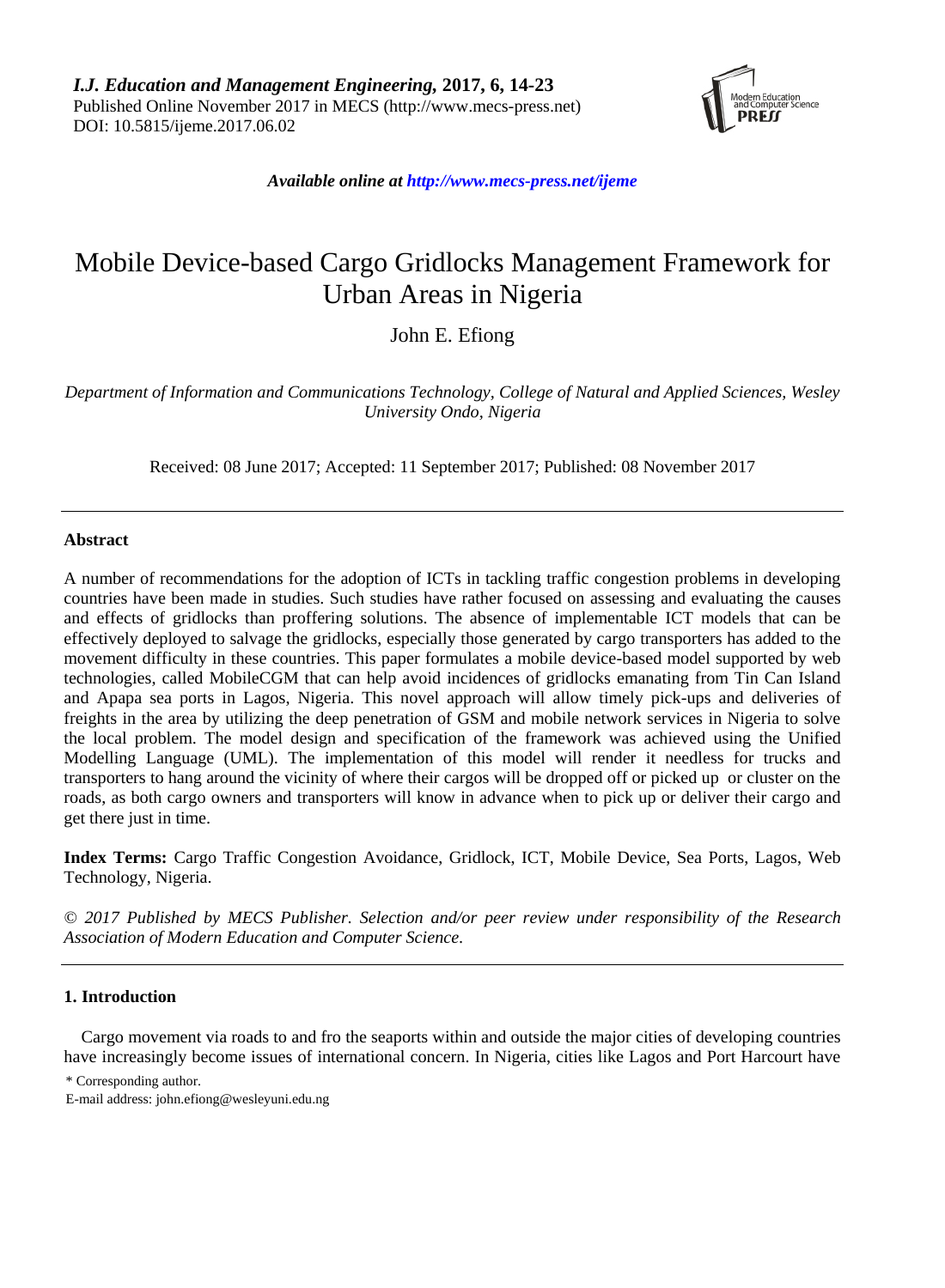

*Available online a[t http://www.mecs-press.net/ijeme](http://www.mecs-press.net/ijeme)*

# Mobile Device-based Cargo Gridlocks Management Framework for Urban Areas in Nigeria

John E. Efiong

*Department of Information and Communications Technology, College of Natural and Applied Sciences, Wesley University Ondo, Nigeria*

Received: 08 June 2017; Accepted: 11 September 2017; Published: 08 November 2017

## **Abstract**

A number of recommendations for the adoption of ICTs in tackling traffic congestion problems in developing countries have been made in studies. Such studies have rather focused on assessing and evaluating the causes and effects of gridlocks than proffering solutions. The absence of implementable ICT models that can be effectively deployed to salvage the gridlocks, especially those generated by cargo transporters has added to the movement difficulty in these countries. This paper formulates a mobile device-based model supported by web technologies, called MobileCGM that can help avoid incidences of gridlocks emanating from Tin Can Island and Apapa sea ports in Lagos, Nigeria. This novel approach will allow timely pick-ups and deliveries of freights in the area by utilizing the deep penetration of GSM and mobile network services in Nigeria to solve the local problem. The model design and specification of the framework was achieved using the Unified Modelling Language (UML). The implementation of this model will render it needless for trucks and transporters to hang around the vicinity of where their cargos will be dropped off or picked up or cluster on the roads, as both cargo owners and transporters will know in advance when to pick up or deliver their cargo and get there just in time.

**Index Terms:** Cargo Traffic Congestion Avoidance, Gridlock, ICT, Mobile Device, Sea Ports, Lagos, Web Technology, Nigeria.

*© 2017 Published by MECS Publisher. Selection and/or peer review under responsibility of the Research Association of Modern Education and Computer Science.*

## **1. Introduction**

Cargo movement via roads to and fro the seaports within and outside the major cities of developing countries have increasingly become issues of international concern. In Nigeria, cities like Lagos and Port Harcourt have

\* Corresponding author.

E-mail address: [john.efiong@wesleyuni.edu.ng](mailto:john.efiong@wesleyuni.edu.ng)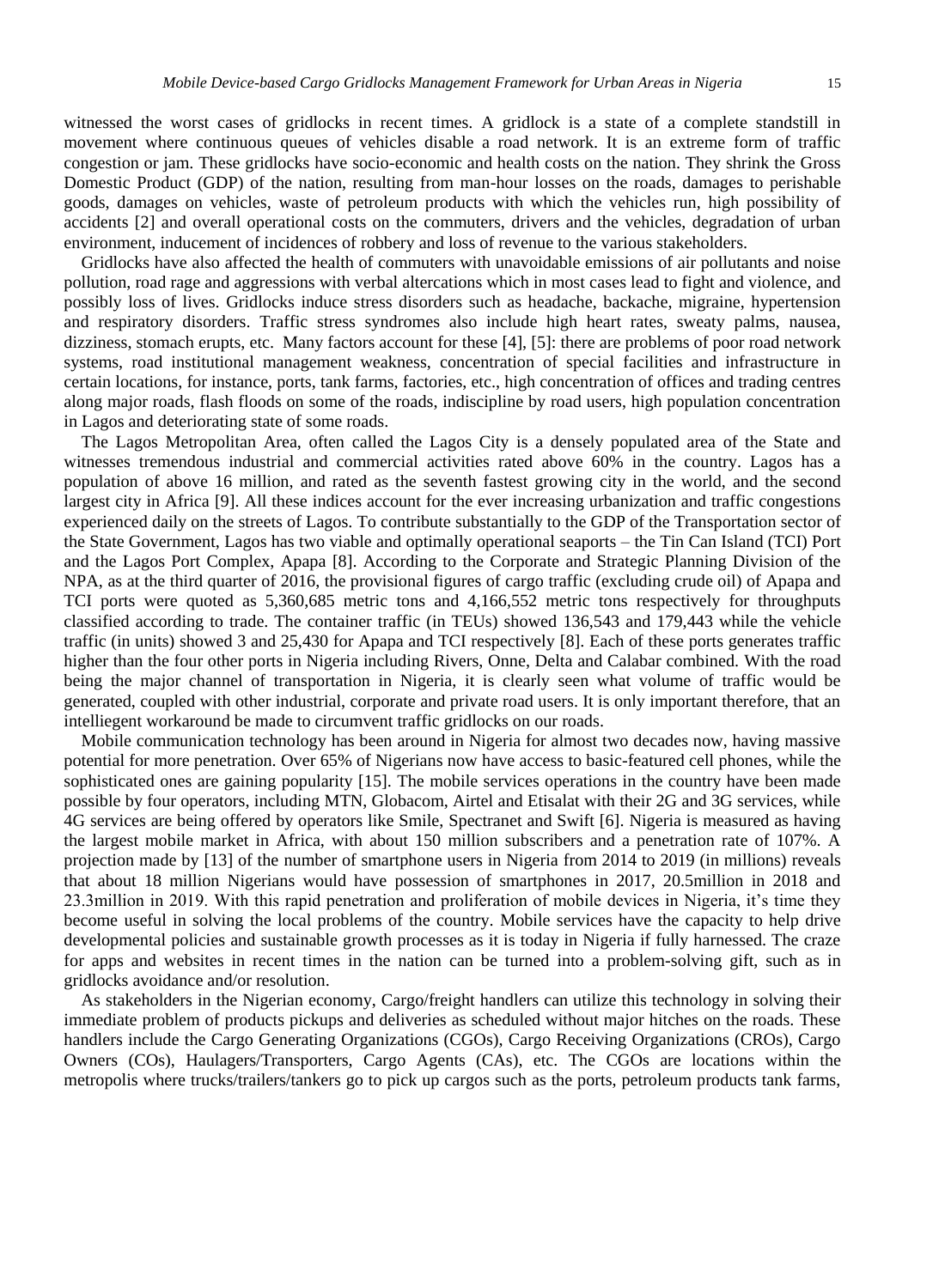witnessed the worst cases of gridlocks in recent times. A gridlock is a state of a complete standstill in movement where continuous queues of vehicles disable a road network. It is an extreme form of traffic congestion or jam. These gridlocks have socio-economic and health costs on the nation. They shrink the Gross Domestic Product (GDP) of the nation, resulting from man-hour losses on the roads, damages to perishable goods, damages on vehicles, waste of petroleum products with which the vehicles run, high possibility of accidents [2] and overall operational costs on the commuters, drivers and the vehicles, degradation of urban environment, inducement of incidences of robbery and loss of revenue to the various stakeholders.

Gridlocks have also affected the health of commuters with unavoidable emissions of air pollutants and noise pollution, road rage and aggressions with verbal altercations which in most cases lead to fight and violence, and possibly loss of lives. Gridlocks induce stress disorders such as headache, backache, migraine, hypertension and respiratory disorders. Traffic stress syndromes also include high heart rates, sweaty palms, nausea, dizziness, stomach erupts, etc. Many factors account for these [4], [5]: there are problems of poor road network systems, road institutional management weakness, concentration of special facilities and infrastructure in certain locations, for instance, ports, tank farms, factories, etc., high concentration of offices and trading centres along major roads, flash floods on some of the roads, indiscipline by road users, high population concentration in Lagos and deteriorating state of some roads.

The Lagos Metropolitan Area, often called the Lagos City is a densely populated area of the State and witnesses tremendous industrial and commercial activities rated above 60% in the country. Lagos has a population of above 16 million, and rated as the seventh fastest growing city in the world, and the second largest city in Africa [9]. All these indices account for the ever increasing urbanization and traffic congestions experienced daily on the streets of Lagos. To contribute substantially to the GDP of the Transportation sector of the State Government, Lagos has two viable and optimally operational seaports – the Tin Can Island (TCI) Port and the Lagos Port Complex, Apapa [8]. According to the Corporate and Strategic Planning Division of the NPA, as at the third quarter of 2016, the provisional figures of cargo traffic (excluding crude oil) of Apapa and TCI ports were quoted as 5,360,685 metric tons and 4,166,552 metric tons respectively for throughputs classified according to trade. The container traffic (in TEUs) showed 136,543 and 179,443 while the vehicle traffic (in units) showed 3 and 25,430 for Apapa and TCI respectively [8]. Each of these ports generates traffic higher than the four other ports in Nigeria including Rivers, Onne, Delta and Calabar combined. With the road being the major channel of transportation in Nigeria, it is clearly seen what volume of traffic would be generated, coupled with other industrial, corporate and private road users. It is only important therefore, that an intelliegent workaround be made to circumvent traffic gridlocks on our roads.

Mobile communication technology has been around in Nigeria for almost two decades now, having massive potential for more penetration. Over 65% of Nigerians now have access to basic-featured cell phones, while the sophisticated ones are gaining popularity [15]. The mobile services operations in the country have been made possible by four operators, including MTN, Globacom, Airtel and Etisalat with their 2G and 3G services, while 4G services are being offered by operators like Smile, Spectranet and Swift [6]. Nigeria is measured as having the largest mobile market in Africa, with about 150 million subscribers and a penetration rate of 107%. A projection made by [13] of the number of smartphone users in Nigeria from 2014 to 2019 (in millions) reveals that about 18 million Nigerians would have possession of smartphones in 2017, 20.5million in 2018 and 23.3million in 2019. With this rapid penetration and proliferation of mobile devices in Nigeria, it's time they become useful in solving the local problems of the country. Mobile services have the capacity to help drive developmental policies and sustainable growth processes as it is today in Nigeria if fully harnessed. The craze for apps and websites in recent times in the nation can be turned into a problem-solving gift, such as in gridlocks avoidance and/or resolution.

As stakeholders in the Nigerian economy, Cargo/freight handlers can utilize this technology in solving their immediate problem of products pickups and deliveries as scheduled without major hitches on the roads. These handlers include the Cargo Generating Organizations (CGOs), Cargo Receiving Organizations (CROs), Cargo Owners (COs), Haulagers/Transporters, Cargo Agents (CAs), etc. The CGOs are locations within the metropolis where trucks/trailers/tankers go to pick up cargos such as the ports, petroleum products tank farms,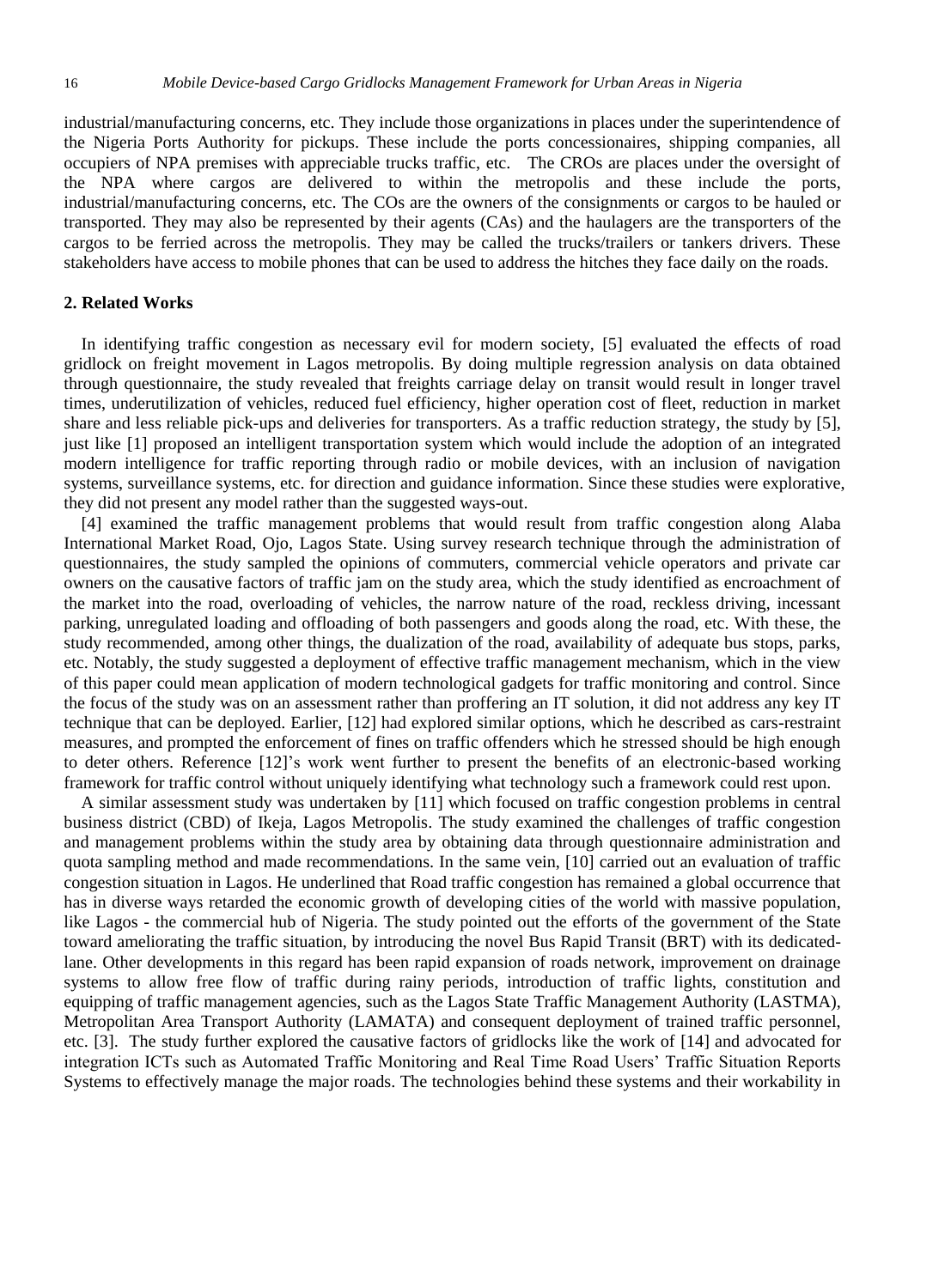industrial/manufacturing concerns, etc. They include those organizations in places under the superintendence of the Nigeria Ports Authority for pickups. These include the ports concessionaires, shipping companies, all occupiers of NPA premises with appreciable trucks traffic, etc. The CROs are places under the oversight of the NPA where cargos are delivered to within the metropolis and these include the ports, industrial/manufacturing concerns, etc. The COs are the owners of the consignments or cargos to be hauled or transported. They may also be represented by their agents (CAs) and the haulagers are the transporters of the cargos to be ferried across the metropolis. They may be called the trucks/trailers or tankers drivers. These stakeholders have access to mobile phones that can be used to address the hitches they face daily on the roads.

#### **2. Related Works**

In identifying traffic congestion as necessary evil for modern society, [5] evaluated the effects of road gridlock on freight movement in Lagos metropolis. By doing multiple regression analysis on data obtained through questionnaire, the study revealed that freights carriage delay on transit would result in longer travel times, underutilization of vehicles, reduced fuel efficiency, higher operation cost of fleet, reduction in market share and less reliable pick-ups and deliveries for transporters. As a traffic reduction strategy, the study by [5], just like [1] proposed an intelligent transportation system which would include the adoption of an integrated modern intelligence for traffic reporting through radio or mobile devices, with an inclusion of navigation systems, surveillance systems, etc. for direction and guidance information. Since these studies were explorative, they did not present any model rather than the suggested ways-out.

[4] examined the traffic management problems that would result from traffic congestion along Alaba International Market Road, Ojo, Lagos State. Using survey research technique through the administration of questionnaires, the study sampled the opinions of commuters, commercial vehicle operators and private car owners on the causative factors of traffic jam on the study area, which the study identified as encroachment of the market into the road, overloading of vehicles, the narrow nature of the road, reckless driving, incessant parking, unregulated loading and offloading of both passengers and goods along the road, etc. With these, the study recommended, among other things, the dualization of the road, availability of adequate bus stops, parks, etc. Notably, the study suggested a deployment of effective traffic management mechanism, which in the view of this paper could mean application of modern technological gadgets for traffic monitoring and control. Since the focus of the study was on an assessment rather than proffering an IT solution, it did not address any key IT technique that can be deployed. Earlier, [12] had explored similar options, which he described as cars-restraint measures, and prompted the enforcement of fines on traffic offenders which he stressed should be high enough to deter others. Reference [12]'s work went further to present the benefits of an electronic-based working framework for traffic control without uniquely identifying what technology such a framework could rest upon.

A similar assessment study was undertaken by [11] which focused on traffic congestion problems in central business district (CBD) of Ikeja, Lagos Metropolis. The study examined the challenges of traffic congestion and management problems within the study area by obtaining data through questionnaire administration and quota sampling method and made recommendations. In the same vein, [10] carried out an evaluation of traffic congestion situation in Lagos. He underlined that Road traffic congestion has remained a global occurrence that has in diverse ways retarded the economic growth of developing cities of the world with massive population, like Lagos - the commercial hub of Nigeria. The study pointed out the efforts of the government of the State toward ameliorating the traffic situation, by introducing the novel Bus Rapid Transit (BRT) with its dedicatedlane. Other developments in this regard has been rapid expansion of roads network, improvement on drainage systems to allow free flow of traffic during rainy periods, introduction of traffic lights, constitution and equipping of traffic management agencies, such as the Lagos State Traffic Management Authority (LASTMA), Metropolitan Area Transport Authority (LAMATA) and consequent deployment of trained traffic personnel, etc. [3]. The study further explored the causative factors of gridlocks like the work of [14] and advocated for integration ICTs such as Automated Traffic Monitoring and Real Time Road Users' Traffic Situation Reports Systems to effectively manage the major roads. The technologies behind these systems and their workability in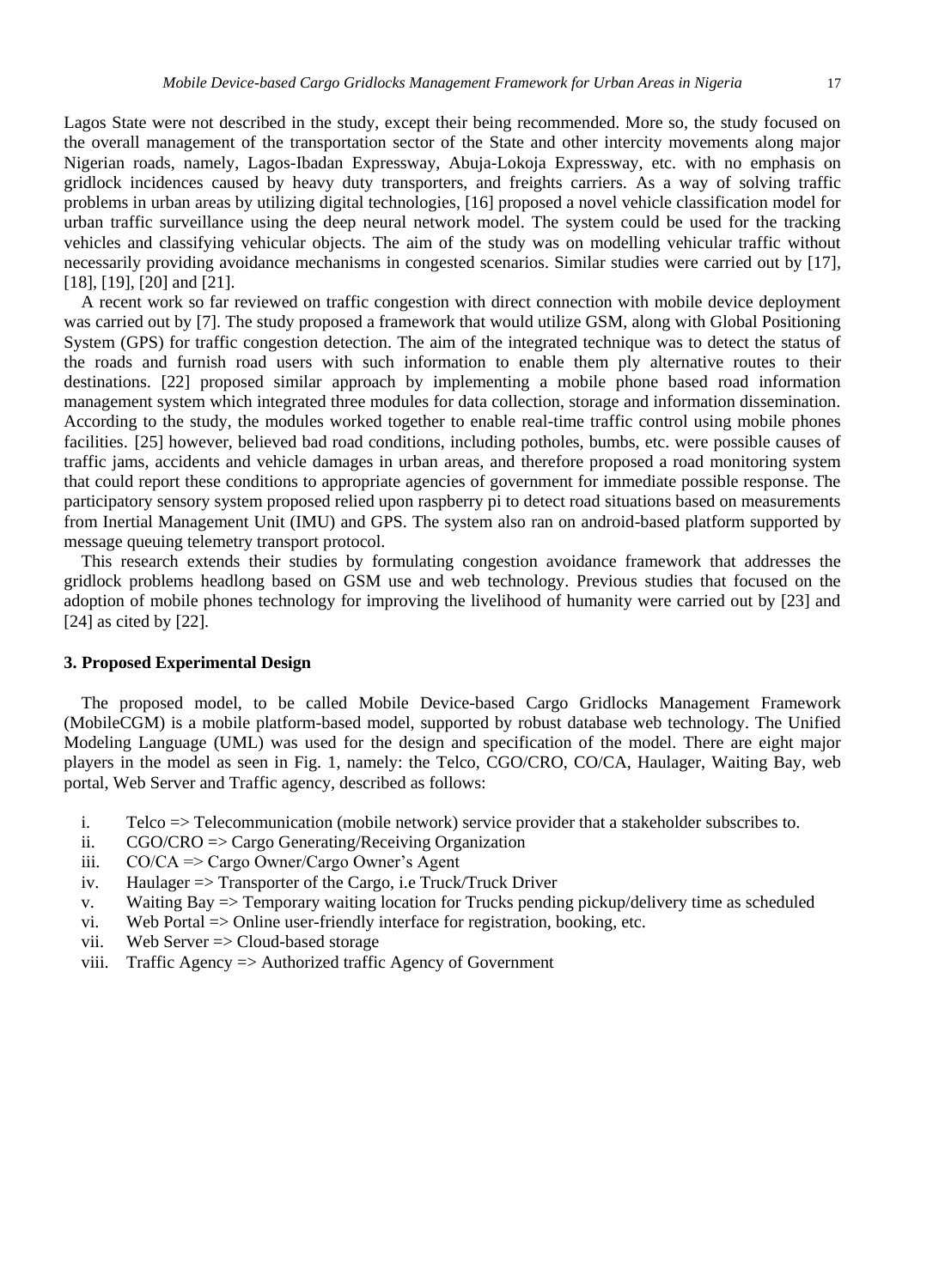Lagos State were not described in the study, except their being recommended. More so, the study focused on the overall management of the transportation sector of the State and other intercity movements along major Nigerian roads, namely, Lagos-Ibadan Expressway, Abuja-Lokoja Expressway, etc. with no emphasis on gridlock incidences caused by heavy duty transporters, and freights carriers. As a way of solving traffic problems in urban areas by utilizing digital technologies, [16] proposed a novel vehicle classification model for urban traffic surveillance using the deep neural network model. The system could be used for the tracking vehicles and classifying vehicular objects. The aim of the study was on modelling vehicular traffic without necessarily providing avoidance mechanisms in congested scenarios. Similar studies were carried out by [17], [18], [19], [20] and [21].

A recent work so far reviewed on traffic congestion with direct connection with mobile device deployment was carried out by [7]. The study proposed a framework that would utilize GSM, along with Global Positioning System (GPS) for traffic congestion detection. The aim of the integrated technique was to detect the status of the roads and furnish road users with such information to enable them ply alternative routes to their destinations. [22] proposed similar approach by implementing a mobile phone based road information management system which integrated three modules for data collection, storage and information dissemination. According to the study, the modules worked together to enable real-time traffic control using mobile phones facilities. [25] however, believed bad road conditions, including potholes, bumbs, etc. were possible causes of traffic jams, accidents and vehicle damages in urban areas, and therefore proposed a road monitoring system that could report these conditions to appropriate agencies of government for immediate possible response. The participatory sensory system proposed relied upon raspberry pi to detect road situations based on measurements from Inertial Management Unit (IMU) and GPS. The system also ran on android-based platform supported by message queuing telemetry transport protocol.

This research extends their studies by formulating congestion avoidance framework that addresses the gridlock problems headlong based on GSM use and web technology. Previous studies that focused on the adoption of mobile phones technology for improving the livelihood of humanity were carried out by [23] and [24] as cited by [22].

#### **3. Proposed Experimental Design**

The proposed model, to be called Mobile Device-based Cargo Gridlocks Management Framework (MobileCGM) is a mobile platform-based model, supported by robust database web technology. The Unified Modeling Language (UML) was used for the design and specification of the model. There are eight major players in the model as seen in Fig. 1, namely: the Telco, CGO/CRO, CO/CA, Haulager, Waiting Bay, web portal, Web Server and Traffic agency, described as follows:

- i. Telco => Telecommunication (mobile network) service provider that a stakeholder subscribes to.
- ii. CGO/CRO => Cargo Generating/Receiving Organization
- iii. CO/CA => Cargo Owner/Cargo Owner's Agent
- iv. Haulager => Transporter of the Cargo, i.e Truck/Truck Driver
- v. Waiting Bay => Temporary waiting location for Trucks pending pickup/delivery time as scheduled
- vi. Web Portal => Online user-friendly interface for registration, booking, etc.
- vii. Web Server => Cloud-based storage
- viii. Traffic Agency => Authorized traffic Agency of Government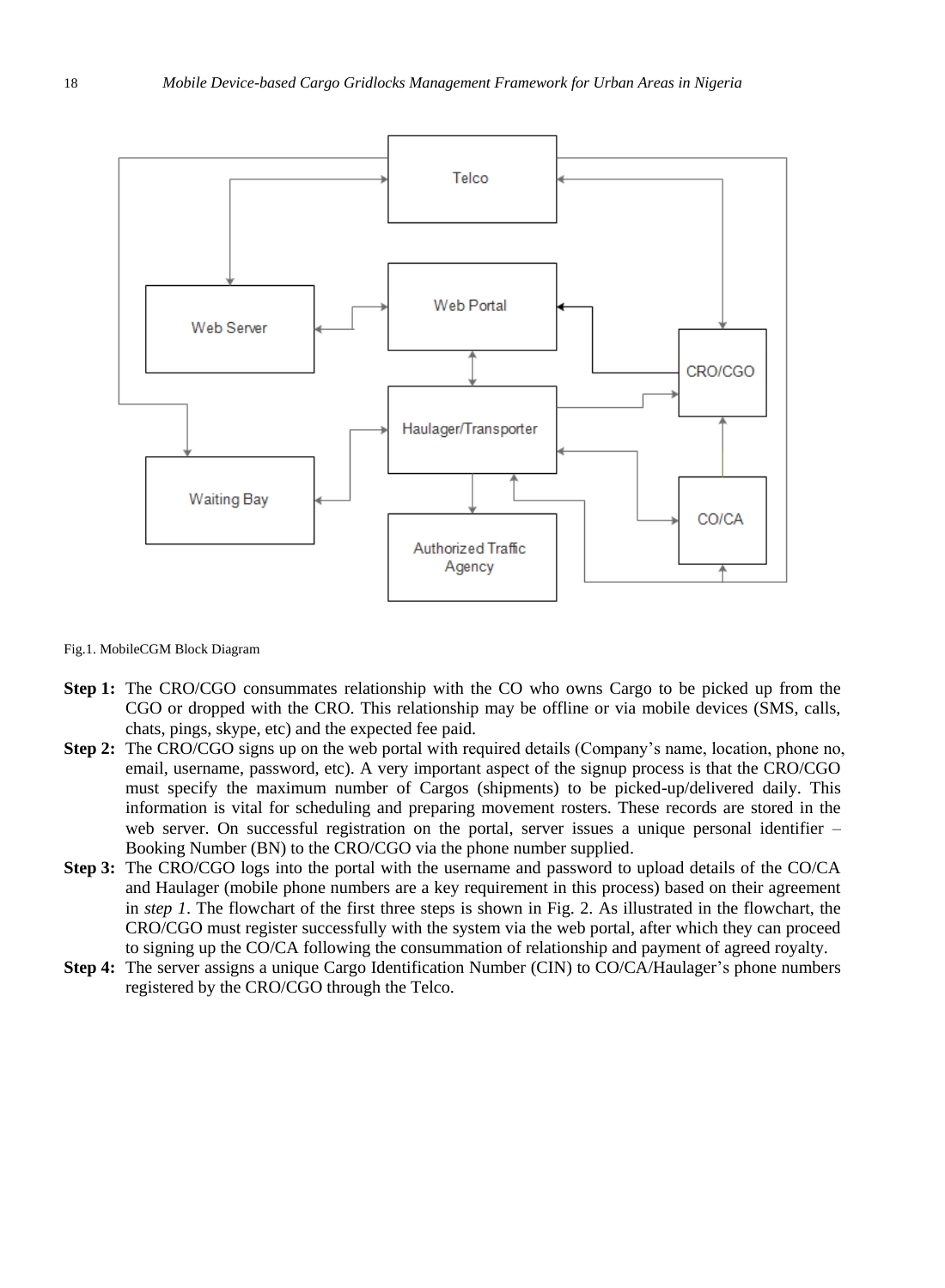

Fig.1. MobileCGM Block Diagram

- **Step 1:** The CRO/CGO consummates relationship with the CO who owns Cargo to be picked up from the CGO or dropped with the CRO. This relationship may be offline or via mobile devices (SMS, calls, chats, pings, skype, etc) and the expected fee paid.
- **Step 2:** The CRO/CGO signs up on the web portal with required details (Company's name, location, phone no, email, username, password, etc). A very important aspect of the signup process is that the CRO/CGO must specify the maximum number of Cargos (shipments) to be picked-up/delivered daily. This information is vital for scheduling and preparing movement rosters. These records are stored in the web server. On successful registration on the portal, server issues a unique personal identifier – Booking Number (BN) to the CRO/CGO via the phone number supplied.
- **Step 3:** The CRO/CGO logs into the portal with the username and password to upload details of the CO/CA and Haulager (mobile phone numbers are a key requirement in this process) based on their agreement in *step 1*. The flowchart of the first three steps is shown in Fig. 2. As illustrated in the flowchart, the CRO/CGO must register successfully with the system via the web portal, after which they can proceed to signing up the CO/CA following the consummation of relationship and payment of agreed royalty.
- **Step 4:** The server assigns a unique Cargo Identification Number (CIN) to CO/CA/Haulager's phone numbers registered by the CRO/CGO through the Telco.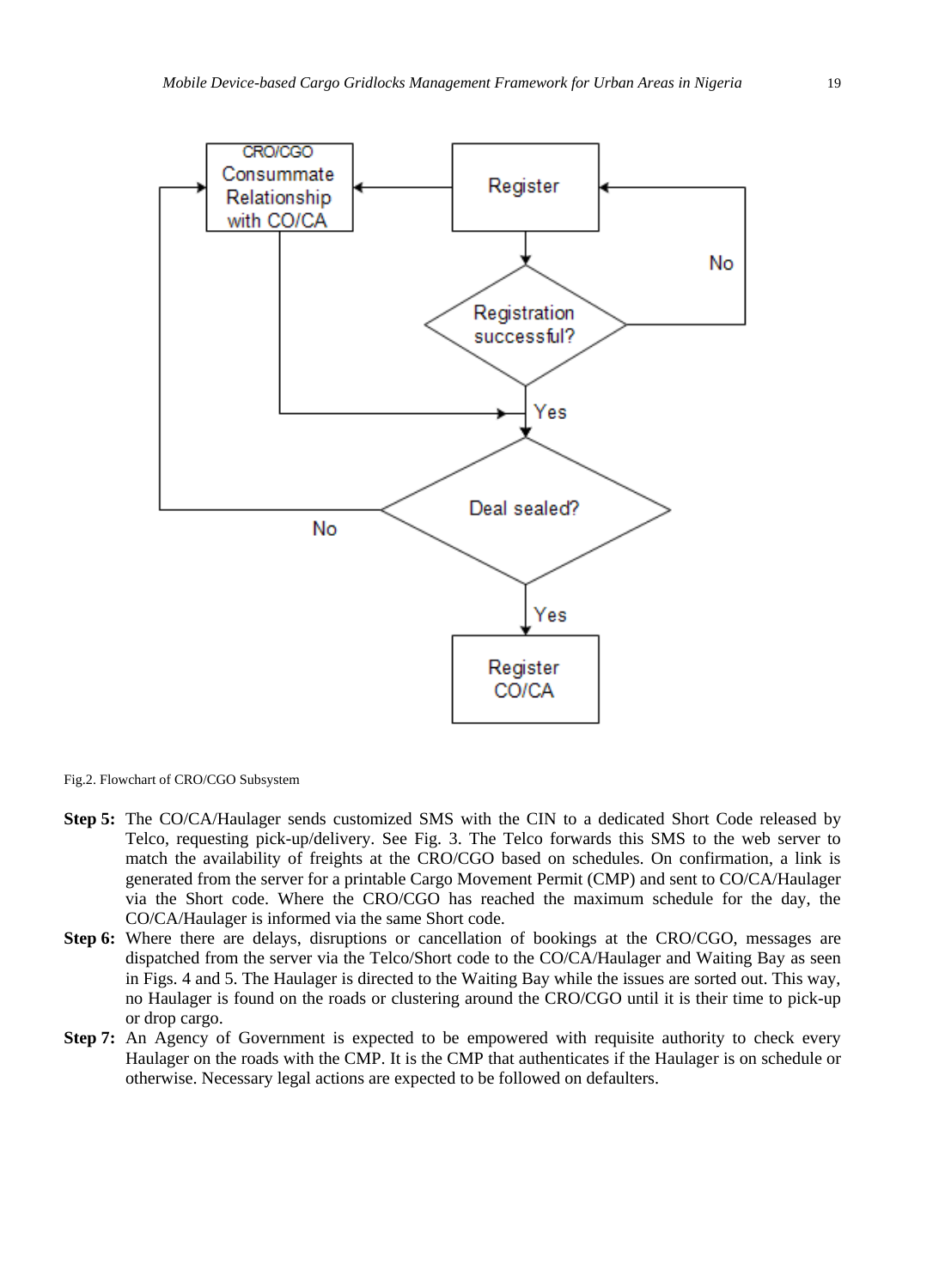

Fig.2. Flowchart of CRO/CGO Subsystem

- **Step 5:** The CO/CA/Haulager sends customized SMS with the CIN to a dedicated Short Code released by Telco, requesting pick-up/delivery. See Fig. 3. The Telco forwards this SMS to the web server to match the availability of freights at the CRO/CGO based on schedules. On confirmation, a link is generated from the server for a printable Cargo Movement Permit (CMP) and sent to CO/CA/Haulager via the Short code. Where the CRO/CGO has reached the maximum schedule for the day, the CO/CA/Haulager is informed via the same Short code.
- **Step 6:** Where there are delays, disruptions or cancellation of bookings at the CRO/CGO, messages are dispatched from the server via the Telco/Short code to the CO/CA/Haulager and Waiting Bay as seen in Figs. 4 and 5. The Haulager is directed to the Waiting Bay while the issues are sorted out. This way, no Haulager is found on the roads or clustering around the CRO/CGO until it is their time to pick-up or drop cargo.
- **Step 7:** An Agency of Government is expected to be empowered with requisite authority to check every Haulager on the roads with the CMP. It is the CMP that authenticates if the Haulager is on schedule or otherwise. Necessary legal actions are expected to be followed on defaulters.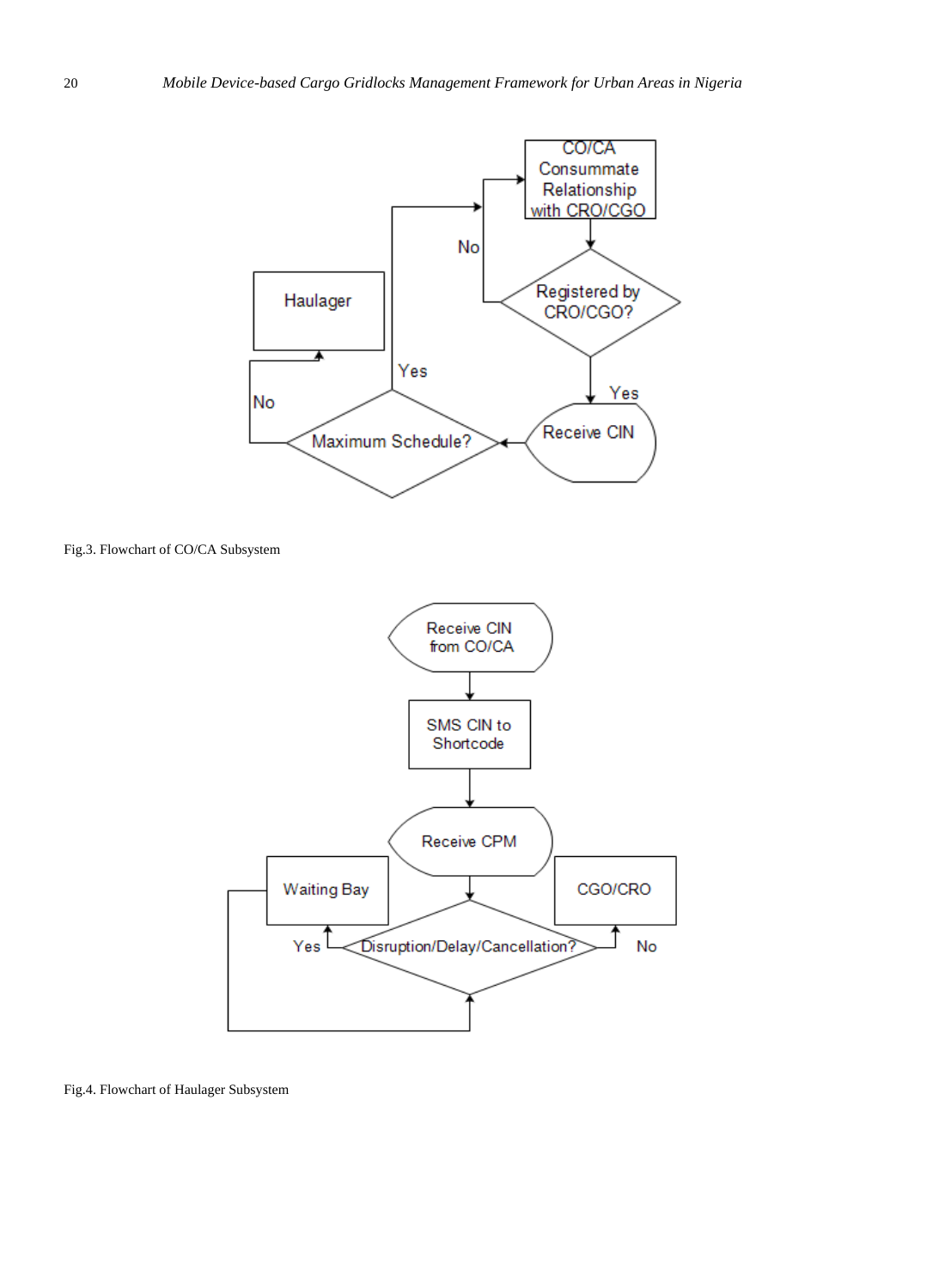

Fig.3. Flowchart of CO/CA Subsystem



Fig.4. Flowchart of Haulager Subsystem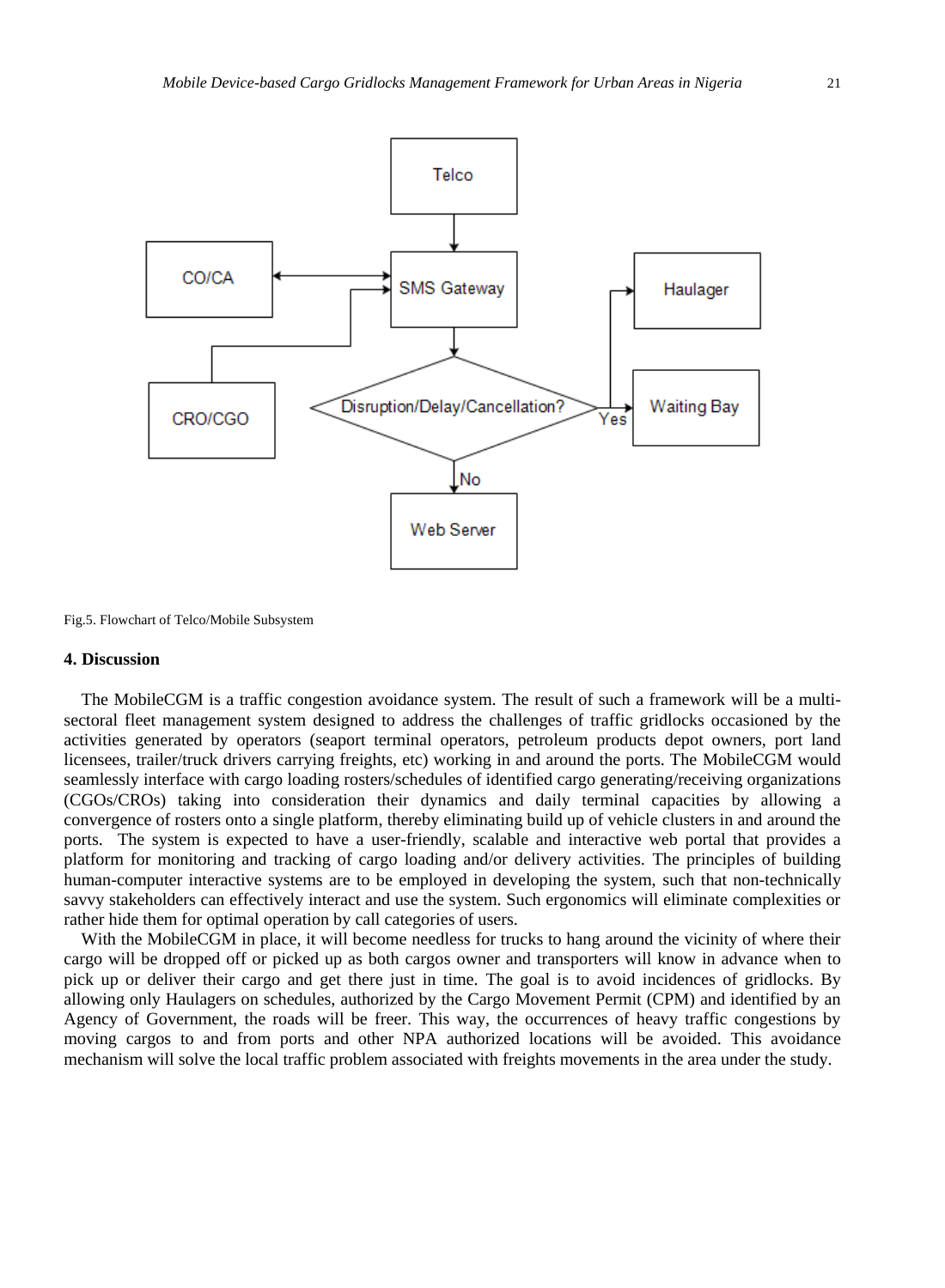

Fig.5. Flowchart of Telco/Mobile Subsystem

#### **4. Discussion**

The MobileCGM is a traffic congestion avoidance system. The result of such a framework will be a multisectoral fleet management system designed to address the challenges of traffic gridlocks occasioned by the activities generated by operators (seaport terminal operators, petroleum products depot owners, port land licensees, trailer/truck drivers carrying freights, etc) working in and around the ports. The MobileCGM would seamlessly interface with cargo loading rosters/schedules of identified cargo generating/receiving organizations (CGOs/CROs) taking into consideration their dynamics and daily terminal capacities by allowing a convergence of rosters onto a single platform, thereby eliminating build up of vehicle clusters in and around the ports. The system is expected to have a user-friendly, scalable and interactive web portal that provides a platform for monitoring and tracking of cargo loading and/or delivery activities. The principles of building human-computer interactive systems are to be employed in developing the system, such that non-technically savvy stakeholders can effectively interact and use the system. Such ergonomics will eliminate complexities or rather hide them for optimal operation by call categories of users.

With the MobileCGM in place, it will become needless for trucks to hang around the vicinity of where their cargo will be dropped off or picked up as both cargos owner and transporters will know in advance when to pick up or deliver their cargo and get there just in time. The goal is to avoid incidences of gridlocks. By allowing only Haulagers on schedules, authorized by the Cargo Movement Permit (CPM) and identified by an Agency of Government, the roads will be freer. This way, the occurrences of heavy traffic congestions by moving cargos to and from ports and other NPA authorized locations will be avoided. This avoidance mechanism will solve the local traffic problem associated with freights movements in the area under the study.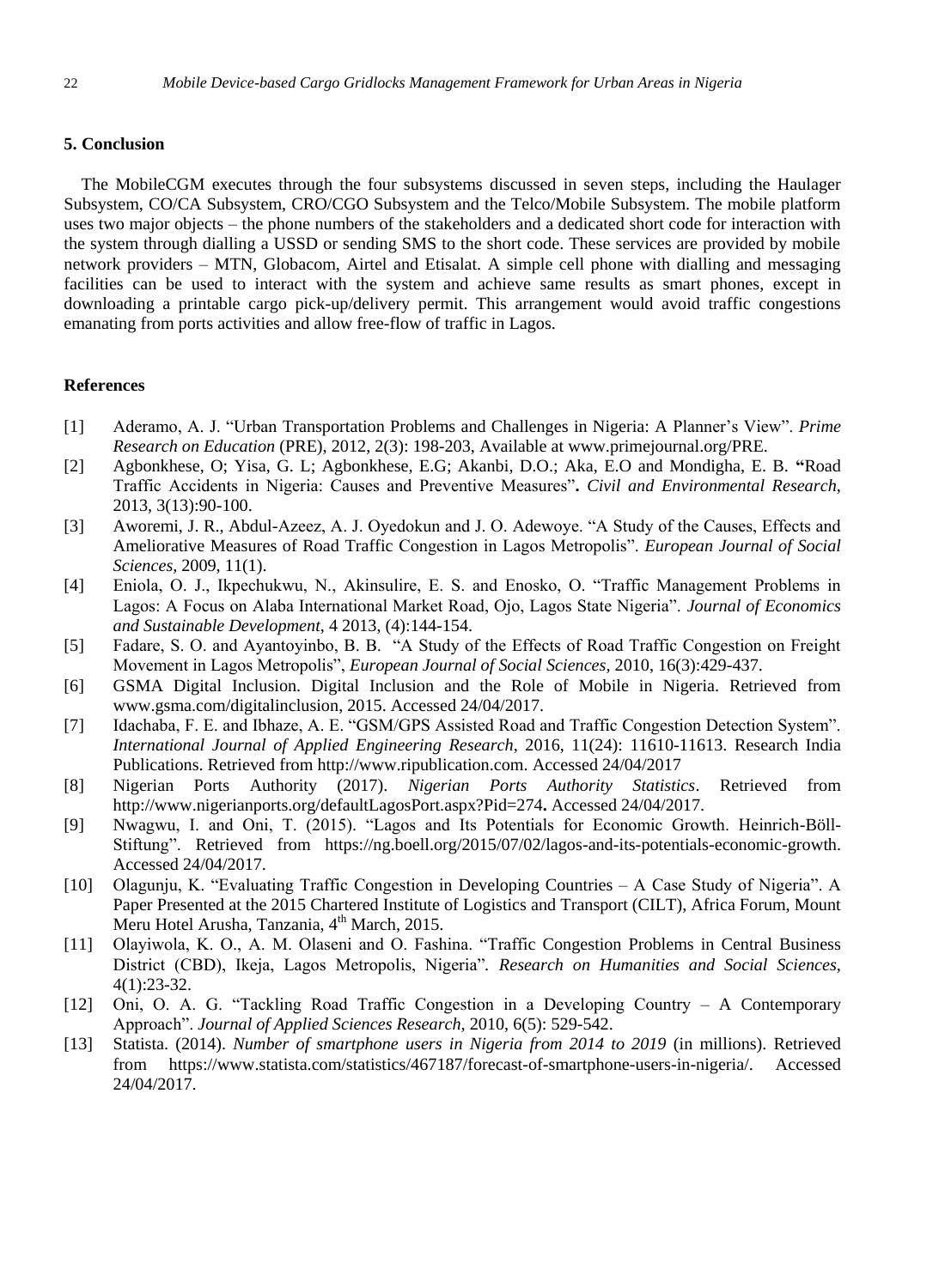# **5. Conclusion**

The MobileCGM executes through the four subsystems discussed in seven steps, including the Haulager Subsystem, CO/CA Subsystem, CRO/CGO Subsystem and the Telco/Mobile Subsystem. The mobile platform uses two major objects – the phone numbers of the stakeholders and a dedicated short code for interaction with the system through dialling a USSD or sending SMS to the short code. These services are provided by mobile network providers – MTN, Globacom, Airtel and Etisalat. A simple cell phone with dialling and messaging facilities can be used to interact with the system and achieve same results as smart phones, except in downloading a printable cargo pick-up/delivery permit. This arrangement would avoid traffic congestions emanating from ports activities and allow free-flow of traffic in Lagos.

#### **References**

- [1] Aderamo, A. J. "Urban Transportation Problems and Challenges in Nigeria: A Planner's View". *Prime Research on Education* (PRE), 2012, 2(3): 198-203, Available at www.primejournal.org/PRE.
- [2] Agbonkhese, O; Yisa, G. L; Agbonkhese, E.G; Akanbi, D.O.; Aka, E.O and Mondigha, E. B. **"**Road Traffic Accidents in Nigeria: Causes and Preventive Measures"**.** *Civil and Environmental Research*, 2013, 3(13):90-100.
- [3] Aworemi, J. R., Abdul-Azeez, A. J. Oyedokun and J. O. Adewoye. "A Study of the Causes, Effects and Ameliorative Measures of Road Traffic Congestion in Lagos Metropolis". *European Journal of Social Sciences,* 2009, 11(1).
- [4] Eniola, O. J., Ikpechukwu, N., Akinsulire, E. S. and Enosko, O. "Traffic Management Problems in Lagos: A Focus on Alaba International Market Road, Ojo, Lagos State Nigeria". *Journal of Economics and Sustainable Development*, 4 2013, (4):144-154.
- [5] Fadare, S. O. and Ayantoyinbo, B. B. "A Study of the Effects of Road Traffic Congestion on Freight Movement in Lagos Metropolis", *European Journal of Social Sciences,* 2010, 16(3):429-437.
- [6] GSMA Digital Inclusion. Digital Inclusion and the Role of Mobile in Nigeria. Retrieved from [www.gsma.com/digitalinclusion,](http://www.gsma.com/digitalinclusion) 2015. Accessed 24/04/2017.
- [7] Idachaba, F. E. and Ibhaze, A. E. "GSM/GPS Assisted Road and Traffic Congestion Detection System". *International Journal of Applied Engineering Research*, 2016, 11(24): 11610-11613. Research India Publications. Retrieved from [http://www.ripublication.com.](http://www.ripublication.com/) Accessed 24/04/2017
- [8] Nigerian Ports Authority (2017). *Nigerian Ports Authority Statistics*. Retrieved from <http://www.nigerianports.org/defaultLagosPort.aspx?Pid=274>**.** Accessed 24/04/2017.
- [9] Nwagwu, I. and Oni, T. (2015). "Lagos and Its Potentials for Economic Growth. Heinrich-Böll-Stiftung". Retrieved from https://ng.boell.org/2015/07/02/lagos-and-its-potentials-economic-growth. Accessed 24/04/2017.
- [10] Olagunju, K. "Evaluating Traffic Congestion in Developing Countries A Case Study of Nigeria". A Paper Presented at the 2015 Chartered Institute of Logistics and Transport (CILT), Africa Forum, Mount Meru Hotel Arusha, Tanzania, 4<sup>th</sup> March, 2015.
- [11] Olayiwola, K. O., A. M. Olaseni and O. Fashina. "Traffic Congestion Problems in Central Business District (CBD), Ikeja, Lagos Metropolis, Nigeria"*. Research on Humanities and Social Sciences,* 4(1):23-32.
- [12] Oni, O. A. G. "Tackling Road Traffic Congestion in a Developing Country A Contemporary Approach". *Journal of Applied Sciences Research,* 2010, 6(5): 529-542.
- [13] Statista. (2014). *Number of smartphone users in Nigeria from 2014 to 2019* (in millions). Retrieved from [https://www.statista.com/statistics/467187/forecast-of-smartphone-users-in-nigeria/.](https://www.statista.com/statistics/467187/forecast-of-smartphone-users-in-nigeria/) Accessed 24/04/2017.